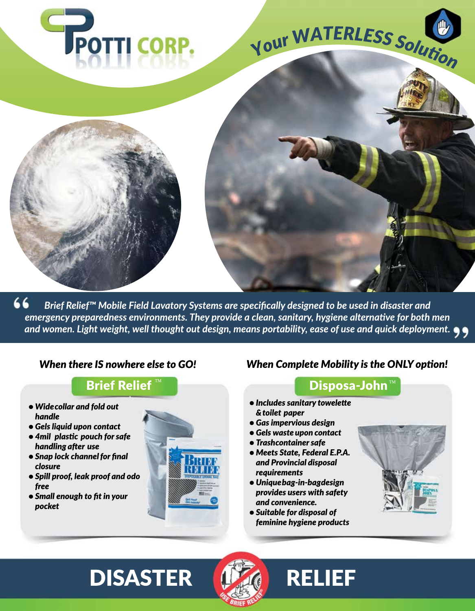

66 Brief Relief™ Mobile Field Lavatory Systems are specifically designed to be used in disaster and emergency preparedness environments. They provide a clean, sanitary, hygiene alternative for both men and women. Light weight, well thought out design, means portability, ease of use and quick deployment.  $\bullet \bullet$ 

#### When there IS nowhere else to GO!

## **Brief Relief**

- Widecollar and fold out handle
- Gels liquid upon contact
- 4mil plastic pouch for safe handling after use
- Snap lock channel for final closure
- Spill proof, leak proof and odo free
- Small enough to fit in your pocket



#### **When Complete Mobility is the ONLY option!**

### **Disposa-John**™

- Includes sanitary towelette & toilet paper
- Gas impervious design
- Gels waste upon contact
- Trashcontainer safe
- Meets State, Federal E.P.A. and Provincial disposal requirements
- · Uniquebag-in-bagdesign provides users with safety and convenience.
- Suitable for disposal of feminine hygiene products



# **DISASTER**



# **RELIEF**